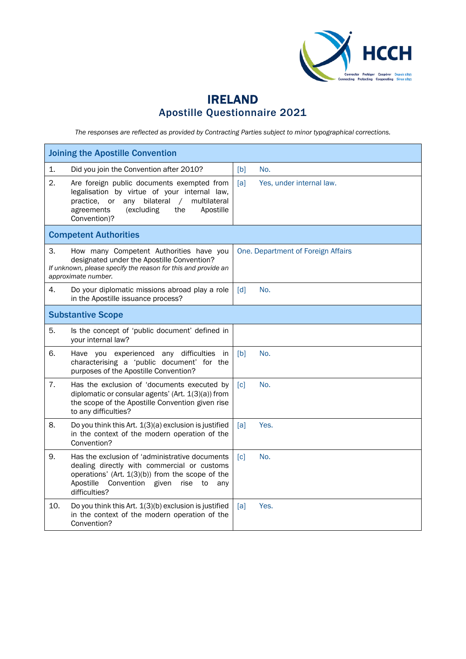

## IRELAND Apostille Questionnaire 2021

*The responses are reflected as provided by Contracting Parties subject to minor typographical corrections.*

| <b>Joining the Apostille Convention</b>                                                                                                                                                                                        |                                    |  |  |
|--------------------------------------------------------------------------------------------------------------------------------------------------------------------------------------------------------------------------------|------------------------------------|--|--|
| 1.<br>Did you join the Convention after 2010?                                                                                                                                                                                  | [b]<br>No.                         |  |  |
| 2.<br>Are foreign public documents exempted from<br>legalisation by virtue of your internal law,<br>practice, or any bilateral<br>multilateral<br>$\sqrt{2}$<br>(excluding<br>the<br>agreements<br>Apostille<br>Convention)?   | [a]<br>Yes, under internal law.    |  |  |
| <b>Competent Authorities</b>                                                                                                                                                                                                   |                                    |  |  |
| 3.<br>How many Competent Authorities have you<br>designated under the Apostille Convention?<br>If unknown, please specify the reason for this and provide an<br>approximate number.                                            | One. Department of Foreign Affairs |  |  |
| 4.<br>Do your diplomatic missions abroad play a role<br>in the Apostille issuance process?                                                                                                                                     | No.<br>$\lceil d \rceil$           |  |  |
| <b>Substantive Scope</b>                                                                                                                                                                                                       |                                    |  |  |
| 5.<br>Is the concept of 'public document' defined in<br>your internal law?                                                                                                                                                     |                                    |  |  |
| 6.<br>Have you experienced any difficulties in<br>characterising a 'public document' for the<br>purposes of the Apostille Convention?                                                                                          | No.<br>[b]                         |  |  |
| 7.<br>Has the exclusion of 'documents executed by<br>diplomatic or consular agents' (Art. 1(3)(a)) from<br>the scope of the Apostille Convention given rise<br>to any difficulties?                                            | [c]<br>No.                         |  |  |
| 8.<br>Do you think this Art. 1(3)(a) exclusion is justified<br>in the context of the modern operation of the<br>Convention?                                                                                                    | Yes.<br>[a]                        |  |  |
| 9.<br>Has the exclusion of 'administrative documents<br>dealing directly with commercial or customs<br>operations' (Art. 1(3)(b)) from the scope of the<br>Apostille<br>Convention given<br>rise<br>to<br>any<br>difficulties? | [c]<br>No.                         |  |  |
| 10.<br>Do you think this Art. 1(3)(b) exclusion is justified<br>in the context of the modern operation of the<br>Convention?                                                                                                   | [a]<br>Yes.                        |  |  |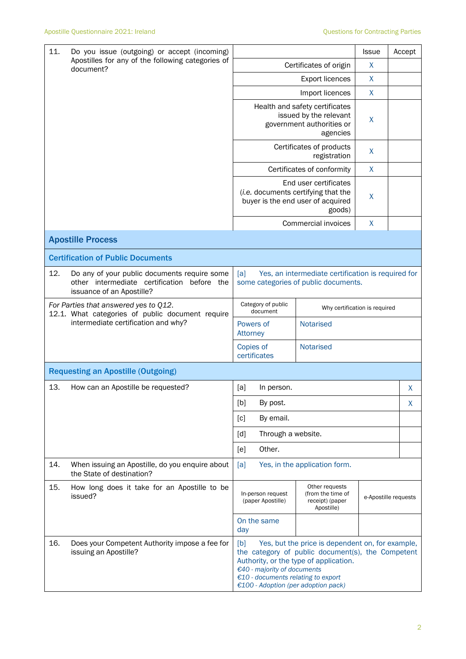| 11.<br>Do you issue (outgoing) or accept (incoming)<br>Apostilles for any of the following categories of<br>document? |                                                                                                                          |                                                                                                                                                                                                                                                                    |                                                                                                   |                                                                      | <b>Issue</b>         | Accept |
|-----------------------------------------------------------------------------------------------------------------------|--------------------------------------------------------------------------------------------------------------------------|--------------------------------------------------------------------------------------------------------------------------------------------------------------------------------------------------------------------------------------------------------------------|---------------------------------------------------------------------------------------------------|----------------------------------------------------------------------|----------------------|--------|
|                                                                                                                       |                                                                                                                          | Certificates of origin                                                                                                                                                                                                                                             |                                                                                                   |                                                                      | X                    |        |
|                                                                                                                       |                                                                                                                          | <b>Export licences</b>                                                                                                                                                                                                                                             |                                                                                                   |                                                                      | X                    |        |
|                                                                                                                       |                                                                                                                          |                                                                                                                                                                                                                                                                    |                                                                                                   | Import licences                                                      | X                    |        |
|                                                                                                                       |                                                                                                                          |                                                                                                                                                                                                                                                                    | Health and safety certificates<br>issued by the relevant<br>government authorities or<br>agencies |                                                                      |                      |        |
|                                                                                                                       |                                                                                                                          | Certificates of products<br>registration                                                                                                                                                                                                                           |                                                                                                   |                                                                      | X                    |        |
|                                                                                                                       |                                                                                                                          |                                                                                                                                                                                                                                                                    |                                                                                                   | Certificates of conformity                                           | $\mathsf{X}$         |        |
|                                                                                                                       |                                                                                                                          | End user certificates<br>(i.e. documents certifying that the<br>buyer is the end user of acquired<br>goods)                                                                                                                                                        |                                                                                                   |                                                                      | X                    |        |
|                                                                                                                       |                                                                                                                          |                                                                                                                                                                                                                                                                    |                                                                                                   | Commercial invoices                                                  | X                    |        |
|                                                                                                                       | <b>Apostille Process</b>                                                                                                 |                                                                                                                                                                                                                                                                    |                                                                                                   |                                                                      |                      |        |
|                                                                                                                       | <b>Certification of Public Documents</b>                                                                                 |                                                                                                                                                                                                                                                                    |                                                                                                   |                                                                      |                      |        |
| 12.                                                                                                                   | Do any of your public documents require some<br>other intermediate certification before the<br>issuance of an Apostille? | Yes, an intermediate certification is required for<br>[a]<br>some categories of public documents.                                                                                                                                                                  |                                                                                                   |                                                                      |                      |        |
| For Parties that answered yes to Q12.<br>12.1. What categories of public document require                             |                                                                                                                          | Category of public<br>Why certification is required<br>document                                                                                                                                                                                                    |                                                                                                   |                                                                      |                      |        |
|                                                                                                                       | intermediate certification and why?                                                                                      | Notarised<br>Powers of<br>Attorney                                                                                                                                                                                                                                 |                                                                                                   |                                                                      |                      |        |
|                                                                                                                       |                                                                                                                          | Copies of<br>certificates                                                                                                                                                                                                                                          |                                                                                                   | Notarised                                                            |                      |        |
|                                                                                                                       | <b>Requesting an Apostille (Outgoing)</b>                                                                                |                                                                                                                                                                                                                                                                    |                                                                                                   |                                                                      |                      |        |
| 13.                                                                                                                   | How can an Apostille be requested?                                                                                       | [a]                                                                                                                                                                                                                                                                | In person.                                                                                        |                                                                      |                      | X      |
|                                                                                                                       |                                                                                                                          | [b]                                                                                                                                                                                                                                                                | By post.                                                                                          |                                                                      |                      | X      |
|                                                                                                                       |                                                                                                                          | [c]                                                                                                                                                                                                                                                                | By email.                                                                                         |                                                                      |                      |        |
|                                                                                                                       |                                                                                                                          | [d]                                                                                                                                                                                                                                                                | Through a website.                                                                                |                                                                      |                      |        |
|                                                                                                                       |                                                                                                                          | [e]                                                                                                                                                                                                                                                                | Other.                                                                                            |                                                                      |                      |        |
| 14.                                                                                                                   | When issuing an Apostille, do you enquire about<br>the State of destination?                                             | [a]                                                                                                                                                                                                                                                                |                                                                                                   | Yes, in the application form.                                        |                      |        |
| 15.                                                                                                                   | How long does it take for an Apostille to be<br>issued?                                                                  | In-person request<br>(paper Apostille)                                                                                                                                                                                                                             |                                                                                                   | Other requests<br>(from the time of<br>receipt) (paper<br>Apostille) | e-Apostille requests |        |
|                                                                                                                       |                                                                                                                          | day                                                                                                                                                                                                                                                                | On the same                                                                                       |                                                                      |                      |        |
| 16.                                                                                                                   | Does your Competent Authority impose a fee for<br>issuing an Apostille?                                                  | Yes, but the price is dependent on, for example,<br>[b]<br>the category of public document(s), the Competent<br>Authority, or the type of application.<br>€40 - majority of documents<br>€10 - documents relating to export<br>€100 - Adoption (per adoption pack) |                                                                                                   |                                                                      |                      |        |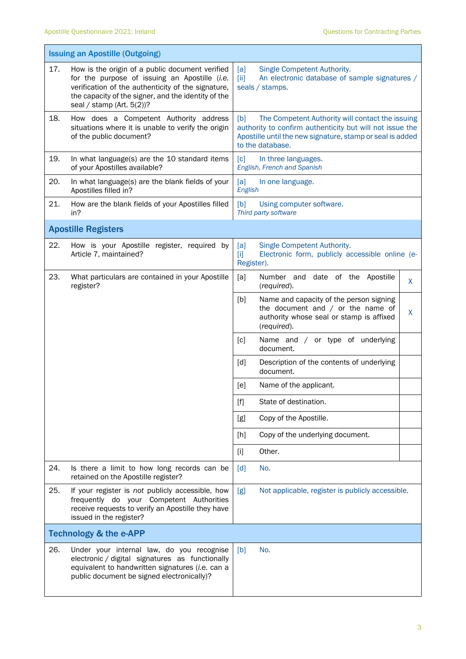$\mathbf{r}$ 

|     | <b>Issuing an Apostille (Outgoing)</b>                                                                                                                                                                                                        |                                                                                                                                                                                                      |  |  |
|-----|-----------------------------------------------------------------------------------------------------------------------------------------------------------------------------------------------------------------------------------------------|------------------------------------------------------------------------------------------------------------------------------------------------------------------------------------------------------|--|--|
| 17. | How is the origin of a public document verified<br>for the purpose of issuing an Apostille (i.e.<br>verification of the authenticity of the signature,<br>the capacity of the signer, and the identity of the<br>seal / stamp (Art. $5(2)$ )? | Single Competent Authority.<br>[a]<br>$\overline{[ii]}$<br>An electronic database of sample signatures /<br>seals / stamps.                                                                          |  |  |
| 18. | How does a Competent Authority address<br>situations where it is unable to verify the origin<br>of the public document?                                                                                                                       | [b]<br>The Competent Authority will contact the issuing<br>authority to confirm authenticity but will not issue the<br>Apostille until the new signature, stamp or seal is added<br>to the database. |  |  |
| 19. | In what language(s) are the 10 standard items<br>of your Apostilles available?                                                                                                                                                                | [c]<br>In three languages.<br>English, French and Spanish                                                                                                                                            |  |  |
| 20. | In what language(s) are the blank fields of your<br>Apostilles filled in?                                                                                                                                                                     | [a]<br>In one language.<br>English                                                                                                                                                                   |  |  |
| 21. | How are the blank fields of your Apostilles filled<br>in?                                                                                                                                                                                     | [b]<br>Using computer software.<br>Third party software                                                                                                                                              |  |  |
|     | <b>Apostille Registers</b>                                                                                                                                                                                                                    |                                                                                                                                                                                                      |  |  |
| 22. | How is your Apostille register, required by<br>Article 7, maintained?                                                                                                                                                                         | [a]<br>Single Competent Authority.<br>Electronic form, publicly accessible online (e-<br>$[1]$<br>Register).                                                                                         |  |  |
| 23. | What particulars are contained in your Apostille<br>register?                                                                                                                                                                                 | [a]<br>Number and date of the Apostille<br>X<br>(required).                                                                                                                                          |  |  |
|     |                                                                                                                                                                                                                                               | [b]<br>Name and capacity of the person signing<br>the document and $/$ or the name of<br>X<br>authority whose seal or stamp is affixed<br>(required).                                                |  |  |
|     |                                                                                                                                                                                                                                               | Name and / or type of underlying<br>[c]<br>document.                                                                                                                                                 |  |  |
|     |                                                                                                                                                                                                                                               | [d]<br>Description of the contents of underlying<br>document.                                                                                                                                        |  |  |
|     |                                                                                                                                                                                                                                               | [e]<br>Name of the applicant.                                                                                                                                                                        |  |  |
|     |                                                                                                                                                                                                                                               | $[f]$<br>State of destination.                                                                                                                                                                       |  |  |
|     |                                                                                                                                                                                                                                               | Copy of the Apostille.<br>[g]                                                                                                                                                                        |  |  |
|     |                                                                                                                                                                                                                                               | Copy of the underlying document.<br>[h]                                                                                                                                                              |  |  |
|     |                                                                                                                                                                                                                                               | Other.<br>$[1]$                                                                                                                                                                                      |  |  |
| 24. | Is there a limit to how long records can be<br>retained on the Apostille register?                                                                                                                                                            | $\lceil d \rceil$<br>No.                                                                                                                                                                             |  |  |
| 25. | If your register is not publicly accessible, how<br>frequently do your Competent Authorities<br>receive requests to verify an Apostille they have<br>issued in the register?                                                                  | Not applicable, register is publicly accessible.<br>[g]                                                                                                                                              |  |  |
|     | <b>Technology &amp; the e-APP</b>                                                                                                                                                                                                             |                                                                                                                                                                                                      |  |  |
| 26. | Under your internal law, do you recognise<br>electronic / digital signatures as functionally<br>equivalent to handwritten signatures (i.e. can a<br>public document be signed electronically)?                                                | No.<br>[b]                                                                                                                                                                                           |  |  |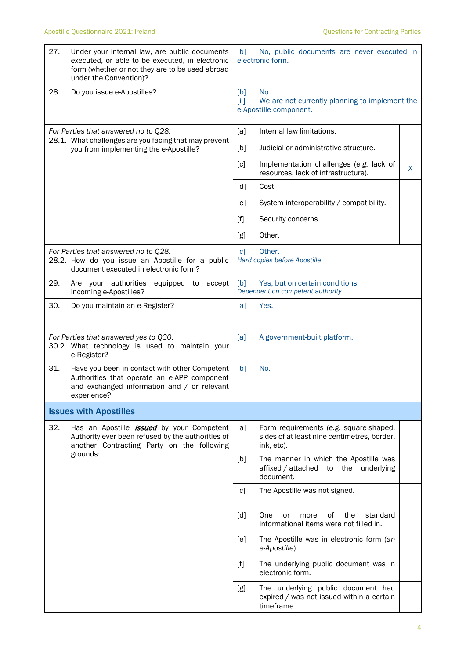| 27.                                                                                           | Under your internal law, are public documents<br>executed, or able to be executed, in electronic<br>form (whether or not they are to be used abroad<br>under the Convention)? | [b]<br>No, public documents are never executed in<br>electronic form.                                      |  |  |
|-----------------------------------------------------------------------------------------------|-------------------------------------------------------------------------------------------------------------------------------------------------------------------------------|------------------------------------------------------------------------------------------------------------|--|--|
| 28.                                                                                           | Do you issue e-Apostilles?                                                                                                                                                    | [b]<br>No.<br>[iii]<br>We are not currently planning to implement the<br>e-Apostille component.            |  |  |
| For Parties that answered no to Q28.<br>28.1. What challenges are you facing that may prevent |                                                                                                                                                                               | Internal law limitations.<br>[a]                                                                           |  |  |
|                                                                                               | you from implementing the e-Apostille?                                                                                                                                        | [b]<br>Judicial or administrative structure.                                                               |  |  |
|                                                                                               |                                                                                                                                                                               | [c]<br>Implementation challenges (e.g. lack of<br>X<br>resources, lack of infrastructure).                 |  |  |
|                                                                                               |                                                                                                                                                                               | Cost.<br>[d]                                                                                               |  |  |
|                                                                                               |                                                                                                                                                                               | System interoperability / compatibility.<br>[e]                                                            |  |  |
|                                                                                               |                                                                                                                                                                               | $[f]$<br>Security concerns.                                                                                |  |  |
|                                                                                               |                                                                                                                                                                               | Other.<br>[g]                                                                                              |  |  |
|                                                                                               | For Parties that answered no to Q28.<br>28.2. How do you issue an Apostille for a public<br>document executed in electronic form?                                             | Other.<br>[c]<br>Hard copies before Apostille                                                              |  |  |
| 29.                                                                                           | Are your authorities<br>equipped to accept<br>incoming e-Apostilles?                                                                                                          | Yes, but on certain conditions.<br>[b]<br>Dependent on competent authority                                 |  |  |
| 30.                                                                                           | Do you maintain an e-Register?                                                                                                                                                | Yes.<br>[a]                                                                                                |  |  |
|                                                                                               | For Parties that answered yes to Q30.<br>30.2. What technology is used to maintain your<br>e-Register?                                                                        | [a]<br>A government-built platform.                                                                        |  |  |
| 31.                                                                                           | Have you been in contact with other Competent<br>Authorities that operate an e-APP component<br>and exchanged information and / or relevant<br>experience?                    | [b]<br>No.                                                                                                 |  |  |
|                                                                                               | <b>Issues with Apostilles</b>                                                                                                                                                 |                                                                                                            |  |  |
| 32.                                                                                           | Has an Apostille <i>issued</i> by your Competent<br>Authority ever been refused by the authorities of<br>another Contracting Party on the following                           | [a]<br>Form requirements (e.g. square-shaped,<br>sides of at least nine centimetres, border,<br>ink, etc). |  |  |
|                                                                                               | grounds:                                                                                                                                                                      | [b]<br>The manner in which the Apostille was<br>affixed / attached to the underlying<br>document.          |  |  |
|                                                                                               |                                                                                                                                                                               | The Apostille was not signed.<br>[c]                                                                       |  |  |
|                                                                                               |                                                                                                                                                                               | One<br>of<br>the<br>[d]<br>standard<br>or<br>more<br>informational items were not filled in.               |  |  |
|                                                                                               |                                                                                                                                                                               | [e]<br>The Apostille was in electronic form (an<br>e-Apostille).                                           |  |  |
|                                                                                               |                                                                                                                                                                               | $[f]$<br>The underlying public document was in<br>electronic form.                                         |  |  |
|                                                                                               |                                                                                                                                                                               | [g]<br>The underlying public document had<br>expired / was not issued within a certain<br>timeframe.       |  |  |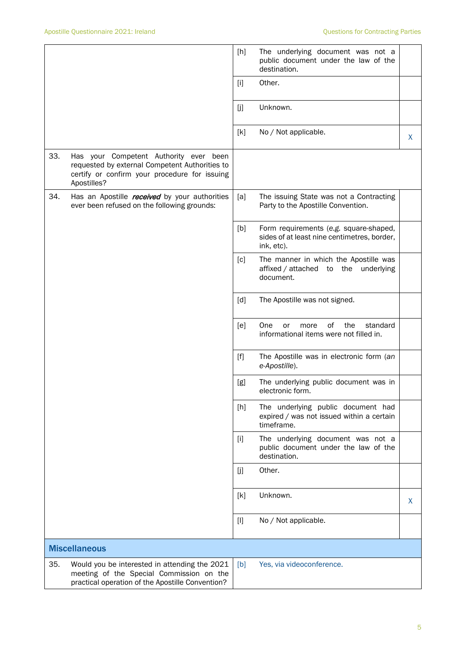|     |                                                                                                                                                          | [h]                                                                                                                                                                                                                                                   | The underlying document was not a<br>public document under the law of the<br>destination.           |   |
|-----|----------------------------------------------------------------------------------------------------------------------------------------------------------|-------------------------------------------------------------------------------------------------------------------------------------------------------------------------------------------------------------------------------------------------------|-----------------------------------------------------------------------------------------------------|---|
|     |                                                                                                                                                          | $[1]$                                                                                                                                                                                                                                                 | Other.                                                                                              |   |
|     |                                                                                                                                                          | [j]                                                                                                                                                                                                                                                   | Unknown.                                                                                            |   |
|     |                                                                                                                                                          | [k]                                                                                                                                                                                                                                                   | No / Not applicable.                                                                                | X |
| 33. | Has your Competent Authority ever been<br>requested by external Competent Authorities to<br>certify or confirm your procedure for issuing<br>Apostilles? |                                                                                                                                                                                                                                                       |                                                                                                     |   |
| 34. | Has an Apostille received by your authorities<br>ever been refused on the following grounds:                                                             | [a]                                                                                                                                                                                                                                                   | The issuing State was not a Contracting<br>Party to the Apostille Convention.                       |   |
|     |                                                                                                                                                          | [b]                                                                                                                                                                                                                                                   | Form requirements (e.g. square-shaped,<br>sides of at least nine centimetres, border,<br>ink, etc). |   |
|     |                                                                                                                                                          | [c]                                                                                                                                                                                                                                                   | The manner in which the Apostille was<br>affixed / attached to the<br>underlying<br>document.       |   |
|     |                                                                                                                                                          | [d]                                                                                                                                                                                                                                                   | The Apostille was not signed.                                                                       |   |
|     |                                                                                                                                                          | [e]                                                                                                                                                                                                                                                   | of<br>One<br>the<br>standard<br>or<br>more<br>informational items were not filled in.               |   |
|     |                                                                                                                                                          | $[f] % \begin{center} % \includegraphics[width=\linewidth]{imagesSupplemental_3.png} % \end{center} % \caption { % Our method can be used for the use of the image. % Note that the \emph{Left:} \label{fig:case} \vspace{-1em} % \label{fig:case} %$ | The Apostille was in electronic form (an<br>e-Apostille).                                           |   |
|     |                                                                                                                                                          | [g]                                                                                                                                                                                                                                                   | The underlying public document was in<br>electronic form.                                           |   |
|     |                                                                                                                                                          | [h]                                                                                                                                                                                                                                                   | The underlying public document had<br>expired / was not issued within a certain<br>timeframe.       |   |
|     |                                                                                                                                                          | $[1]$                                                                                                                                                                                                                                                 | The underlying document was not a<br>public document under the law of the<br>destination.           |   |
|     |                                                                                                                                                          | [j]                                                                                                                                                                                                                                                   | Other.                                                                                              |   |
|     |                                                                                                                                                          | [k]                                                                                                                                                                                                                                                   | Unknown.                                                                                            | X |
|     |                                                                                                                                                          | $[1]$                                                                                                                                                                                                                                                 | No / Not applicable.                                                                                |   |
|     | <b>Miscellaneous</b>                                                                                                                                     |                                                                                                                                                                                                                                                       |                                                                                                     |   |
| 35. | Would you be interested in attending the 2021<br>meeting of the Special Commission on the<br>practical operation of the Apostille Convention?            | [b]                                                                                                                                                                                                                                                   | Yes, via videoconference.                                                                           |   |